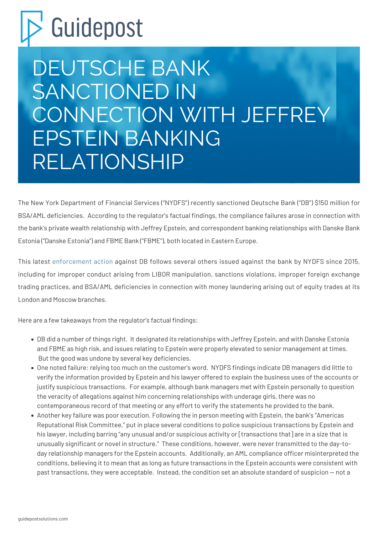## Guidepost

## DEUTSCHE BANK SANCTIONED IN CONNECTION WITH JEFFREY EPSTEIN BANKING RELATIONSHIP

The New York Department of Financial Services ("NYDFS") recently sanctioned Deutsche Bank ("DB") \$150 million for BSA/AML deficiencies. According to the regulator's factual findings, the compliance failures arose in connection with the bank's private wealth relationship with Jeffrey Epstein, and correspondent banking relationships with Danske Bank Estonia ("Danske Estonia") and FBME Bank ("FBME"), both located in Eastern Europe.

This latest [enforcement action](https://www.dfs.ny.gov/system/files/documents/2020/07/ea20200706_deutsche_bank_consent_order.pdf) against DB follows several others issued against the bank by NYDFS since 2015, including for improper conduct arising from LIBOR manipulation, sanctions violations, improper foreign exchange trading practices, and BSA/AML deficiencies in connection with money laundering arising out of equity trades at its London and Moscow branches.

Here are a few takeaways from the regulator's factual findings:

- DB did a number of things right. It designated its relationships with Jeffrey Epstein, and with Danske Estonia and FBME as high risk, and issues relating to Epstein were properly elevated to senior management at times. But the good was undone by several key deficiencies.
- One noted failure: relying too much on the customer's word. NYDFS findings indicate DB managers did little to verify the information provided by Epstein and his lawyer offered to explain the business uses of the accounts or justify suspicious transactions. For example, although bank managers met with Epstein personally to question the veracity of allegations against him concerning relationships with underage girls, there was no contemporaneous record of that meeting or any effort to verify the statements he provided to the bank.
- Another key failure was poor execution. Following the in person meeting with Epstein, the bank's "Americas Reputational Risk Committee," put in place several conditions to police suspicious transactions by Epstein and his lawyer, including barring "any unusual and/or suspicious activity or [transactions that] are in a size that is unusually significant or novel in structure." These conditions, however, were never transmitted to the day-today relationship managers for the Epstein accounts. Additionally, an AML compliance officer misinterpreted the conditions, believing it to mean that as long as future transactions in the Epstein accounts were consistent with past transactions, they were acceptable. Instead, the condition set an absolute standard of suspicion — not a